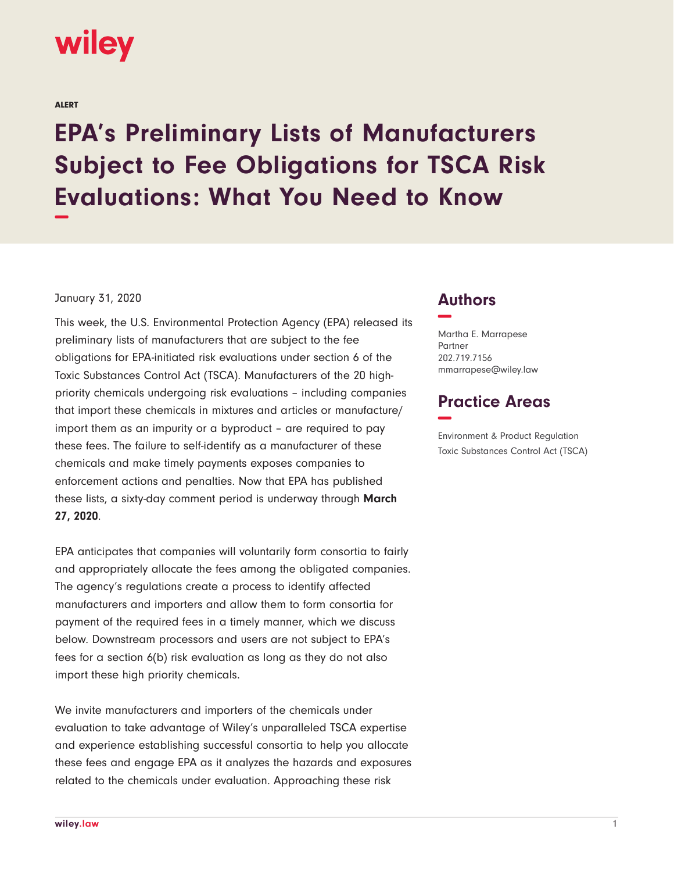

ALERT

# **EPA's Preliminary Lists of Manufacturers Subject to Fee Obligations for TSCA Risk Evaluations: What You Need to Know −**

#### January 31, 2020

This week, the U.S. Environmental Protection Agency (EPA) released its preliminary lists of manufacturers that are subject to the fee obligations for EPA-initiated risk evaluations under section 6 of the Toxic Substances Control Act (TSCA). Manufacturers of the 20 highpriority chemicals undergoing risk evaluations – including companies that import these chemicals in mixtures and articles or manufacture/ import them as an impurity or a byproduct – are required to pay these fees. The failure to self-identify as a manufacturer of these chemicals and make timely payments exposes companies to enforcement actions and penalties. Now that EPA has published these lists, a sixty-day comment period is underway through **March 27, 2020**.

EPA anticipates that companies will voluntarily form consortia to fairly and appropriately allocate the fees among the obligated companies. The agency's regulations create a process to identify affected manufacturers and importers and allow them to form consortia for payment of the required fees in a timely manner, which we discuss below. Downstream processors and users are not subject to EPA's fees for a section 6(b) risk evaluation as long as they do not also import these high priority chemicals.

We invite manufacturers and importers of the chemicals under evaluation to take advantage of Wiley's unparalleled TSCA expertise and experience establishing successful consortia to help you allocate these fees and engage EPA as it analyzes the hazards and exposures related to the chemicals under evaluation. Approaching these risk

## **Authors −**

Martha E. Marrapese Partner 202.719.7156 mmarrapese@wiley.law

# **Practice Areas −**

Environment & Product Regulation Toxic Substances Control Act (TSCA)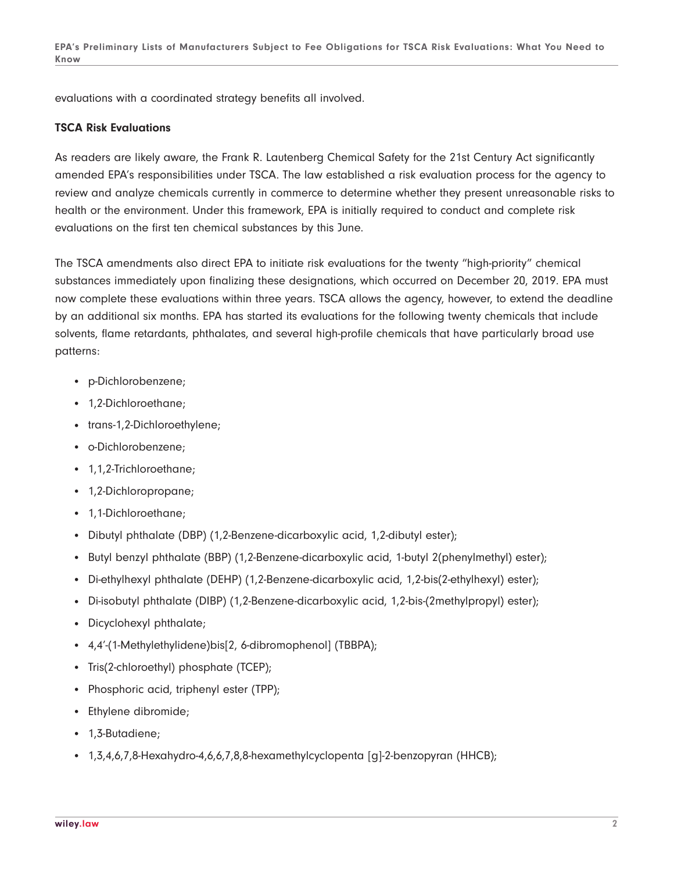evaluations with a coordinated strategy benefits all involved.

#### **TSCA Risk Evaluations**

As readers are likely aware, the Frank R. Lautenberg Chemical Safety for the 21st Century Act significantly amended EPA's responsibilities under TSCA. The law established a risk evaluation process for the agency to review and analyze chemicals currently in commerce to determine whether they present unreasonable risks to health or the environment. Under this framework, EPA is initially required to conduct and complete risk evaluations on the first ten chemical substances by this June.

The TSCA amendments also direct EPA to initiate risk evaluations for the twenty "high-priority" chemical substances immediately upon finalizing these designations, which occurred on December 20, 2019. EPA must now complete these evaluations within three years. TSCA allows the agency, however, to extend the deadline by an additional six months. EPA has started its evaluations for the following twenty chemicals that include solvents, flame retardants, phthalates, and several high-profile chemicals that have particularly broad use patterns:

- p-Dichlorobenzene;
- 1,2-Dichloroethane;
- trans-1,2-Dichloroethylene;
- o-Dichlorobenzene;
- 1,1,2-Trichloroethane;
- 1,2-Dichloropropane;
- 1,1-Dichloroethane;
- Dibutyl phthalate (DBP) (1,2-Benzene-dicarboxylic acid, 1,2-dibutyl ester);
- Butyl benzyl phthalate (BBP) (1,2-Benzene-dicarboxylic acid, 1-butyl 2(phenylmethyl) ester);
- Di-ethylhexyl phthalate (DEHP) (1,2-Benzene-dicarboxylic acid, 1,2-bis(2-ethylhexyl) ester);
- Di-isobutyl phthalate (DIBP) (1,2-Benzene-dicarboxylic acid, 1,2-bis-(2methylpropyl) ester);
- Dicyclohexyl phthalate;
- 4,4'-(1-Methylethylidene)bis[2, 6-dibromophenol] (TBBPA);
- Tris(2-chloroethyl) phosphate (TCEP);
- Phosphoric acid, triphenyl ester (TPP);
- Ethylene dibromide;
- 1,3-Butadiene;
- 1,3,4,6,7,8-Hexahydro-4,6,6,7,8,8-hexamethylcyclopenta [q]-2-benzopyran (HHCB);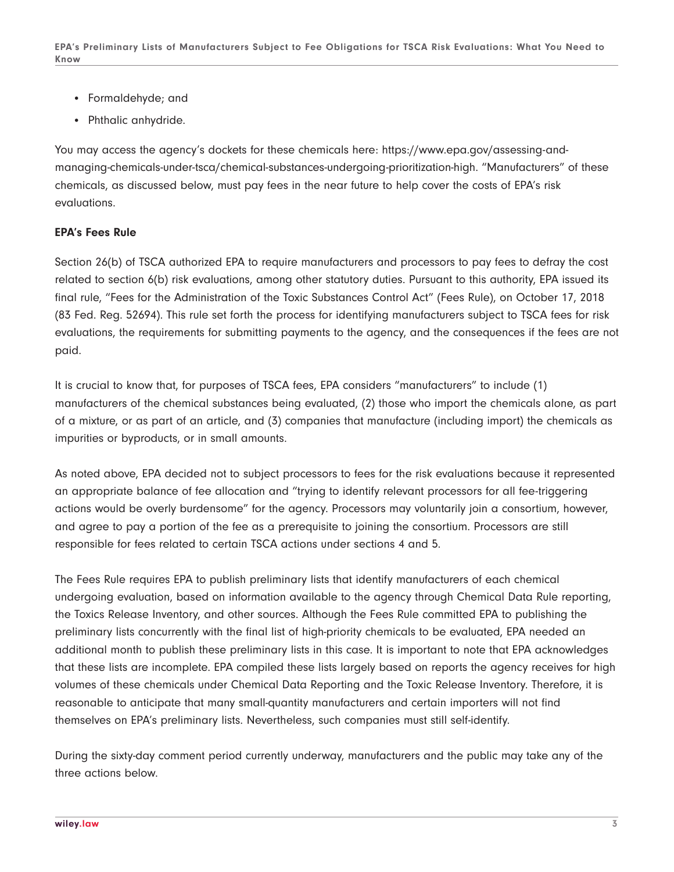**EPA's Preliminary Lists of Manufacturers Subject to Fee Obligations for TSCA Risk Evaluations: What You Need to Know**

- Formaldehyde; and
- Phthalic anhydride.

You may access the agency's dockets for these chemicals here: https://www.epa.gov/assessing-andmanaging-chemicals-under-tsca/chemical-substances-undergoing-prioritization-high. "Manufacturers" of these chemicals, as discussed below, must pay fees in the near future to help cover the costs of EPA's risk evaluations.

### **EPA's Fees Rule**

Section 26(b) of TSCA authorized EPA to require manufacturers and processors to pay fees to defray the cost related to section 6(b) risk evaluations, among other statutory duties. Pursuant to this authority, EPA issued its final rule, "Fees for the Administration of the Toxic Substances Control Act" (Fees Rule), on October 17, 2018 (83 Fed. Reg. 52694). This rule set forth the process for identifying manufacturers subject to TSCA fees for risk evaluations, the requirements for submitting payments to the agency, and the consequences if the fees are not paid.

It is crucial to know that, for purposes of TSCA fees, EPA considers "manufacturers" to include (1) manufacturers of the chemical substances being evaluated, (2) those who import the chemicals alone, as part of a mixture, or as part of an article, and (3) companies that manufacture (including import) the chemicals as impurities or byproducts, or in small amounts.

As noted above, EPA decided not to subject processors to fees for the risk evaluations because it represented an appropriate balance of fee allocation and "trying to identify relevant processors for all fee-triggering actions would be overly burdensome" for the agency. Processors may voluntarily join a consortium, however, and agree to pay a portion of the fee as a prerequisite to joining the consortium. Processors are still responsible for fees related to certain TSCA actions under sections 4 and 5.

The Fees Rule requires EPA to publish preliminary lists that identify manufacturers of each chemical undergoing evaluation, based on information available to the agency through Chemical Data Rule reporting, the Toxics Release Inventory, and other sources. Although the Fees Rule committed EPA to publishing the preliminary lists concurrently with the final list of high-priority chemicals to be evaluated, EPA needed an additional month to publish these preliminary lists in this case. It is important to note that EPA acknowledges that these lists are incomplete. EPA compiled these lists largely based on reports the agency receives for high volumes of these chemicals under Chemical Data Reporting and the Toxic Release Inventory. Therefore, it is reasonable to anticipate that many small-quantity manufacturers and certain importers will not find themselves on EPA's preliminary lists. Nevertheless, such companies must still self-identify.

During the sixty-day comment period currently underway, manufacturers and the public may take any of the three actions below.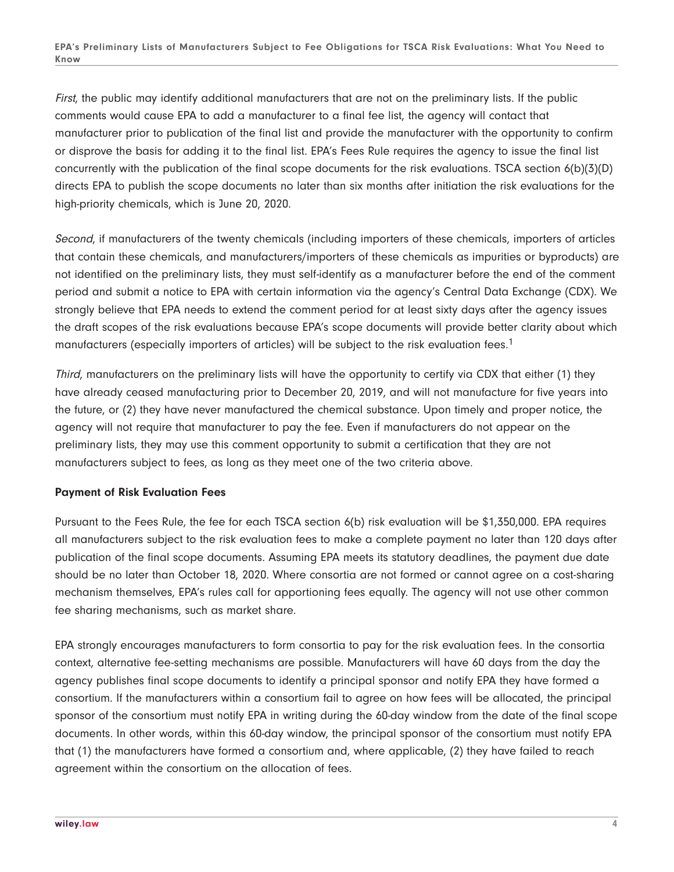First, the public may identify additional manufacturers that are not on the preliminary lists. If the public comments would cause EPA to add a manufacturer to a final fee list, the agency will contact that manufacturer prior to publication of the final list and provide the manufacturer with the opportunity to confirm or disprove the basis for adding it to the final list. EPA's Fees Rule requires the agency to issue the final list concurrently with the publication of the final scope documents for the risk evaluations. TSCA section 6(b)(3)(D) directs EPA to publish the scope documents no later than six months after initiation the risk evaluations for the high-priority chemicals, which is June 20, 2020.

Second, if manufacturers of the twenty chemicals (including importers of these chemicals, importers of articles that contain these chemicals, and manufacturers/importers of these chemicals as impurities or byproducts) are not identified on the preliminary lists, they must self-identify as a manufacturer before the end of the comment period and submit a notice to EPA with certain information via the agency's Central Data Exchange (CDX). We strongly believe that EPA needs to extend the comment period for at least sixty days after the agency issues the draft scopes of the risk evaluations because EPA's scope documents will provide better clarity about which manufacturers (especially importers of articles) will be subject to the risk evaluation fees.<sup>1</sup>

Third, manufacturers on the preliminary lists will have the opportunity to certify via CDX that either (1) they have already ceased manufacturing prior to December 20, 2019, and will not manufacture for five years into the future, or (2) they have never manufactured the chemical substance. Upon timely and proper notice, the agency will not require that manufacturer to pay the fee. Even if manufacturers do not appear on the preliminary lists, they may use this comment opportunity to submit a certification that they are not manufacturers subject to fees, as long as they meet one of the two criteria above.

### **Payment of Risk Evaluation Fees**

Pursuant to the Fees Rule, the fee for each TSCA section 6(b) risk evaluation will be \$1,350,000. EPA requires all manufacturers subject to the risk evaluation fees to make a complete payment no later than 120 days after publication of the final scope documents. Assuming EPA meets its statutory deadlines, the payment due date should be no later than October 18, 2020. Where consortia are not formed or cannot agree on a cost-sharing mechanism themselves, EPA's rules call for apportioning fees equally. The agency will not use other common fee sharing mechanisms, such as market share.

EPA strongly encourages manufacturers to form consortia to pay for the risk evaluation fees. In the consortia context, alternative fee-setting mechanisms are possible. Manufacturers will have 60 days from the day the agency publishes final scope documents to identify a principal sponsor and notify EPA they have formed a consortium. If the manufacturers within a consortium fail to agree on how fees will be allocated, the principal sponsor of the consortium must notify EPA in writing during the 60-day window from the date of the final scope documents. In other words, within this 60-day window, the principal sponsor of the consortium must notify EPA that (1) the manufacturers have formed a consortium and, where applicable, (2) they have failed to reach agreement within the consortium on the allocation of fees.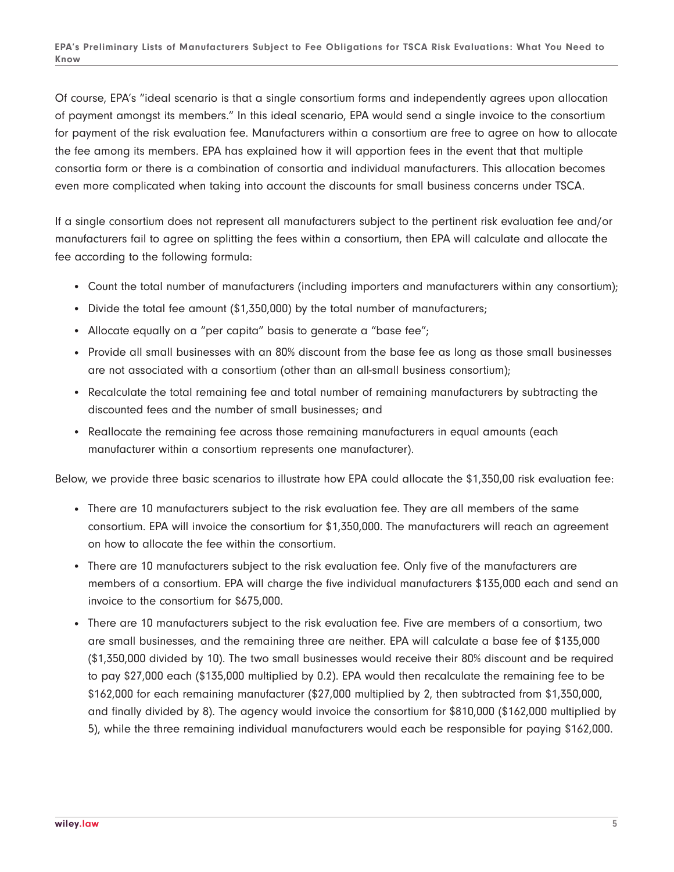Of course, EPA's "ideal scenario is that a single consortium forms and independently agrees upon allocation of payment amongst its members." In this ideal scenario, EPA would send a single invoice to the consortium for payment of the risk evaluation fee. Manufacturers within a consortium are free to agree on how to allocate the fee among its members. EPA has explained how it will apportion fees in the event that that multiple consortia form or there is a combination of consortia and individual manufacturers. This allocation becomes even more complicated when taking into account the discounts for small business concerns under TSCA.

If a single consortium does not represent all manufacturers subject to the pertinent risk evaluation fee and/or manufacturers fail to agree on splitting the fees within a consortium, then EPA will calculate and allocate the fee according to the following formula:

- Count the total number of manufacturers (including importers and manufacturers within any consortium);
- Divide the total fee amount (\$1,350,000) by the total number of manufacturers;
- Allocate equally on a "per capita" basis to generate a "base fee";
- Provide all small businesses with an 80% discount from the base fee as long as those small businesses are not associated with a consortium (other than an all-small business consortium);
- Recalculate the total remaining fee and total number of remaining manufacturers by subtracting the discounted fees and the number of small businesses; and
- Reallocate the remaining fee across those remaining manufacturers in equal amounts (each manufacturer within a consortium represents one manufacturer).

Below, we provide three basic scenarios to illustrate how EPA could allocate the \$1,350,00 risk evaluation fee:

- There are 10 manufacturers subject to the risk evaluation fee. They are all members of the same consortium. EPA will invoice the consortium for \$1,350,000. The manufacturers will reach an agreement on how to allocate the fee within the consortium.
- There are 10 manufacturers subject to the risk evaluation fee. Only five of the manufacturers are members of a consortium. EPA will charge the five individual manufacturers \$135,000 each and send an invoice to the consortium for \$675,000.
- There are 10 manufacturers subject to the risk evaluation fee. Five are members of a consortium, two are small businesses, and the remaining three are neither. EPA will calculate a base fee of \$135,000 (\$1,350,000 divided by 10). The two small businesses would receive their 80% discount and be required to pay \$27,000 each (\$135,000 multiplied by 0.2). EPA would then recalculate the remaining fee to be \$162,000 for each remaining manufacturer (\$27,000 multiplied by 2, then subtracted from \$1,350,000, and finally divided by 8). The agency would invoice the consortium for \$810,000 (\$162,000 multiplied by 5), while the three remaining individual manufacturers would each be responsible for paying \$162,000.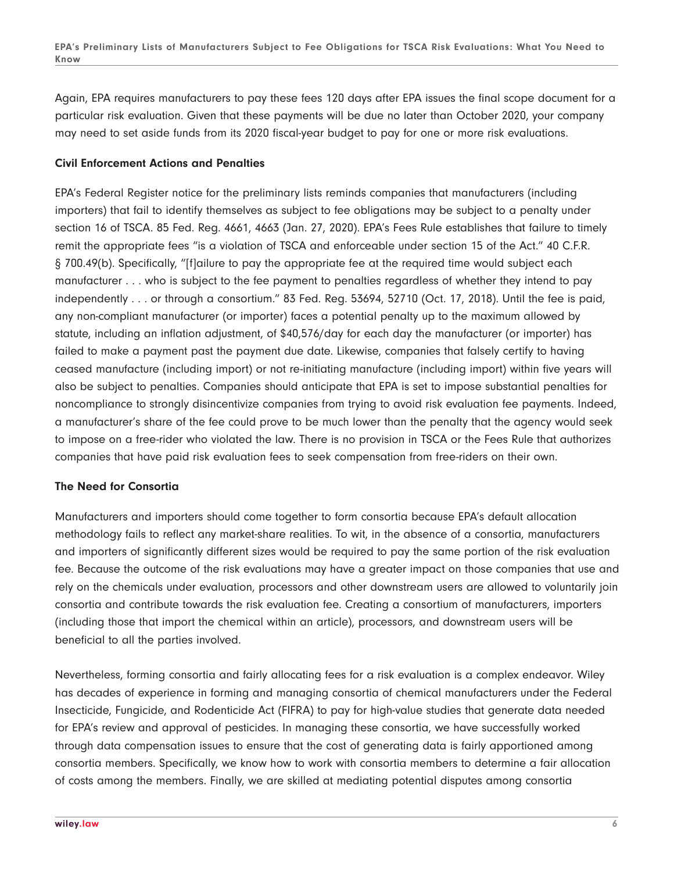Again, EPA requires manufacturers to pay these fees 120 days after EPA issues the final scope document for a particular risk evaluation. Given that these payments will be due no later than October 2020, your company may need to set aside funds from its 2020 fiscal-year budget to pay for one or more risk evaluations.

### **Civil Enforcement Actions and Penalties**

EPA's Federal Register notice for the preliminary lists reminds companies that manufacturers (including importers) that fail to identify themselves as subject to fee obligations may be subject to a penalty under section 16 of TSCA. 85 Fed. Reg. 4661, 4663 (Jan. 27, 2020). EPA's Fees Rule establishes that failure to timely remit the appropriate fees "is a violation of TSCA and enforceable under section 15 of the Act." 40 C.F.R. § 700.49(b). Specifically, "[f]ailure to pay the appropriate fee at the required time would subject each manufacturer . . . who is subject to the fee payment to penalties regardless of whether they intend to pay independently . . . or through a consortium." 83 Fed. Reg. 53694, 52710 (Oct. 17, 2018). Until the fee is paid, any non-compliant manufacturer (or importer) faces a potential penalty up to the maximum allowed by statute, including an inflation adjustment, of \$40,576/day for each day the manufacturer (or importer) has failed to make a payment past the payment due date. Likewise, companies that falsely certify to having ceased manufacture (including import) or not re-initiating manufacture (including import) within five years will also be subject to penalties. Companies should anticipate that EPA is set to impose substantial penalties for noncompliance to strongly disincentivize companies from trying to avoid risk evaluation fee payments. Indeed, a manufacturer's share of the fee could prove to be much lower than the penalty that the agency would seek to impose on a free-rider who violated the law. There is no provision in TSCA or the Fees Rule that authorizes companies that have paid risk evaluation fees to seek compensation from free-riders on their own.

#### **The Need for Consortia**

Manufacturers and importers should come together to form consortia because EPA's default allocation methodology fails to reflect any market-share realities. To wit, in the absence of a consortia, manufacturers and importers of significantly different sizes would be required to pay the same portion of the risk evaluation fee. Because the outcome of the risk evaluations may have a greater impact on those companies that use and rely on the chemicals under evaluation, processors and other downstream users are allowed to voluntarily join consortia and contribute towards the risk evaluation fee. Creating a consortium of manufacturers, importers (including those that import the chemical within an article), processors, and downstream users will be beneficial to all the parties involved.

Nevertheless, forming consortia and fairly allocating fees for a risk evaluation is a complex endeavor. Wiley has decades of experience in forming and managing consortia of chemical manufacturers under the Federal Insecticide, Fungicide, and Rodenticide Act (FIFRA) to pay for high-value studies that generate data needed for EPA's review and approval of pesticides. In managing these consortia, we have successfully worked through data compensation issues to ensure that the cost of generating data is fairly apportioned among consortia members. Specifically, we know how to work with consortia members to determine a fair allocation of costs among the members. Finally, we are skilled at mediating potential disputes among consortia